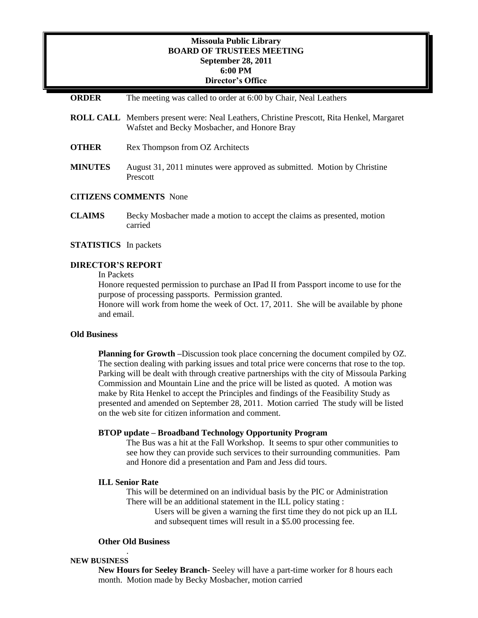# **Missoula Public Library BOARD OF TRUSTEES MEETING September 28, 2011 6:00 PM Director's Office**

## **ORDER** The meeting was called to order at 6:00 by Chair, Neal Leathers

- **ROLL CALL** Members present were: Neal Leathers, Christine Prescott, Rita Henkel, Margaret Wafstet and Becky Mosbacher, and Honore Bray
- **OTHER** Rex Thompson from OZ Architects
- **MINUTES** August 31, 2011 minutes were approved as submitted. Motion by Christine Prescott

# **CITIZENS COMMENTS** None

**CLAIMS** Becky Mosbacher made a motion to accept the claims as presented, motion carried

## **STATISTICS** In packets

### **DIRECTOR'S REPORT**

In Packets

Honore requested permission to purchase an IPad II from Passport income to use for the purpose of processing passports. Permission granted.

Honore will work from home the week of Oct. 17, 2011. She will be available by phone and email.

## **Old Business**

**Planning for Growth –**Discussion took place concerning the document compiled by OZ. The section dealing with parking issues and total price were concerns that rose to the top. Parking will be dealt with through creative partnerships with the city of Missoula Parking Commission and Mountain Line and the price will be listed as quoted. A motion was make by Rita Henkel to accept the Principles and findings of the Feasibility Study as presented and amended on September 28, 2011. Motion carried The study will be listed on the web site for citizen information and comment.

## **BTOP update – Broadband Technology Opportunity Program**

The Bus was a hit at the Fall Workshop. It seems to spur other communities to see how they can provide such services to their surrounding communities. Pam and Honore did a presentation and Pam and Jess did tours.

#### **ILL Senior Rate**

This will be determined on an individual basis by the PIC or Administration There will be an additional statement in the ILL policy stating :

Users will be given a warning the first time they do not pick up an ILL and subsequent times will result in a \$5.00 processing fee.

## **Other Old Business**

.

### **NEW BUSINESS**

**New Hours for Seeley Branch-** Seeley will have a part-time worker for 8 hours each month. Motion made by Becky Mosbacher, motion carried